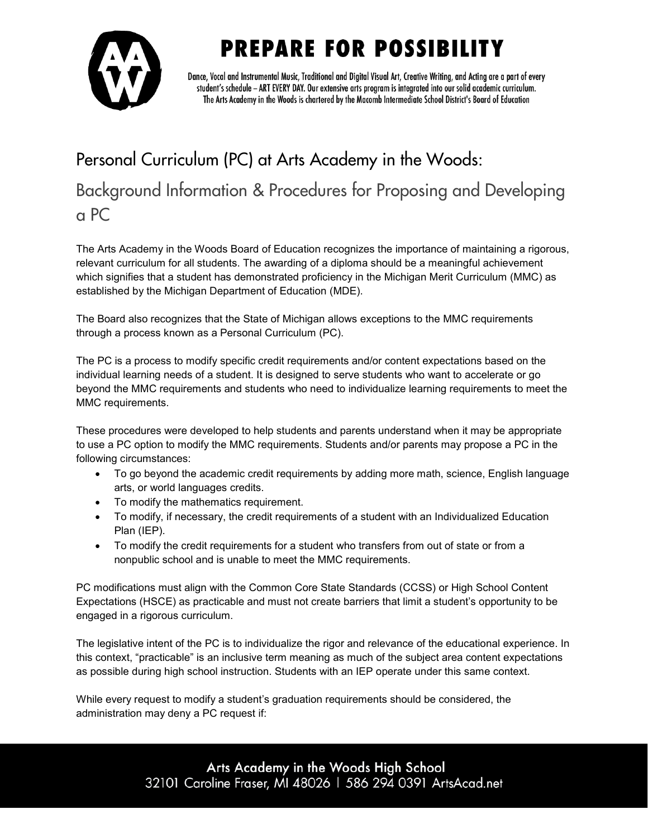# **PREPARE FOR POSSIBILITY**



Dance, Vocal and Instrumental Music, Traditional and Digital Visual Art, Creative Writing, and Acting are a part of every student's schedule - ART EVERY DAY. Our extensive arts program is integrated into our solid academic curriculum. The Arts Academy in the Woods is chartered by the Macomb Intermediate School District's Board of Education

### Personal Curriculum (PC) at Arts Academy in the Woods: Background Information & Procedures for Proposing and Developing a PC

The Arts Academy in the Woods Board of Education recognizes the importance of maintaining a rigorous, relevant curriculum for all students. The awarding of a diploma should be a meaningful achievement which signifies that a student has demonstrated proficiency in the Michigan Merit Curriculum (MMC) as established by the Michigan Department of Education (MDE).

The Board also recognizes that the State of Michigan allows exceptions to the MMC requirements through a process known as a Personal Curriculum (PC).

The PC is a process to modify specific credit requirements and/or content expectations based on the individual learning needs of a student. It is designed to serve students who want to accelerate or go beyond the MMC requirements and students who need to individualize learning requirements to meet the MMC requirements.

These procedures were developed to help students and parents understand when it may be appropriate to use a PC option to modify the MMC requirements. Students and/or parents may propose a PC in the following circumstances:

- To go beyond the academic credit requirements by adding more math, science, English language arts, or world languages credits.
- To modify the mathematics requirement.
- To modify, if necessary, the credit requirements of a student with an Individualized Education Plan (IEP).
- To modify the credit requirements for a student who transfers from out of state or from a nonpublic school and is unable to meet the MMC requirements.

PC modifications must align with the Common Core State Standards (CCSS) or High School Content Expectations (HSCE) as practicable and must not create barriers that limit a student's opportunity to be engaged in a rigorous curriculum.

The legislative intent of the PC is to individualize the rigor and relevance of the educational experience. In this context, "practicable" is an inclusive term meaning as much of the subject area content expectations as possible during high school instruction. Students with an IEP operate under this same context.

While every request to modify a student's graduation requirements should be considered, the administration may deny a PC request if:

> Arts Academy in the Woods High School 32101 Caroline Fraser, MI 48026 | 586 294 0391 ArtsAcad.net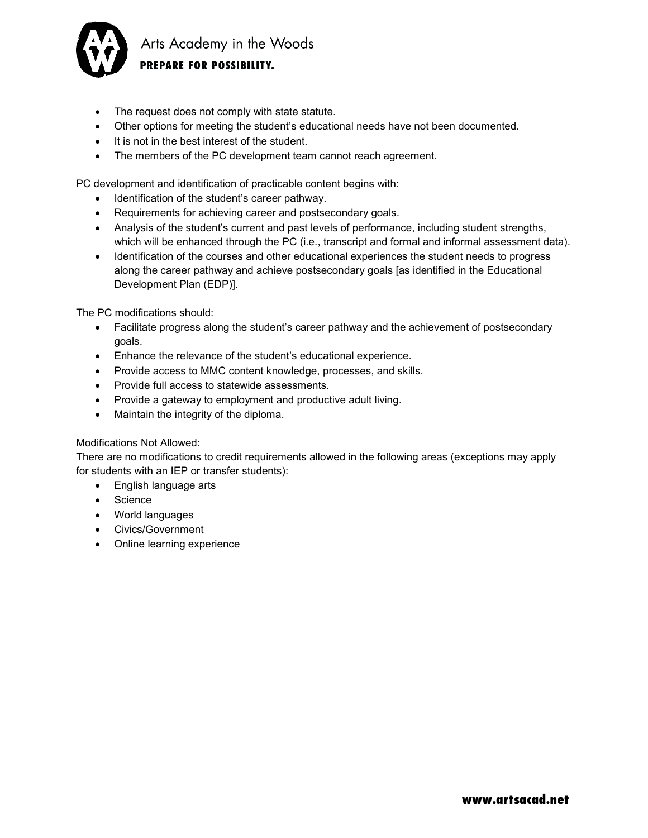

Arts Academy in the Woods PREPARE FOR POSSIBILITY.

- The request does not comply with state statute.
- Other options for meeting the student's educational needs have not been documented.
- It is not in the best interest of the student.
- The members of the PC development team cannot reach agreement.

PC development and identification of practicable content begins with:

- Identification of the student's career pathway.
- Requirements for achieving career and postsecondary goals.
- Analysis of the student's current and past levels of performance, including student strengths, which will be enhanced through the PC (i.e., transcript and formal and informal assessment data).
- Identification of the courses and other educational experiences the student needs to progress along the career pathway and achieve postsecondary goals [as identified in the Educational Development Plan (EDP)].

The PC modifications should:

- Facilitate progress along the student's career pathway and the achievement of postsecondary goals.
- Enhance the relevance of the student's educational experience.
- Provide access to MMC content knowledge, processes, and skills.
- Provide full access to statewide assessments.
- Provide a gateway to employment and productive adult living.
- Maintain the integrity of the diploma.

#### Modifications Not Allowed:

There are no modifications to credit requirements allowed in the following areas (exceptions may apply for students with an IEP or transfer students):

- English language arts
- Science
- World languages
- Civics/Government
- Online learning experience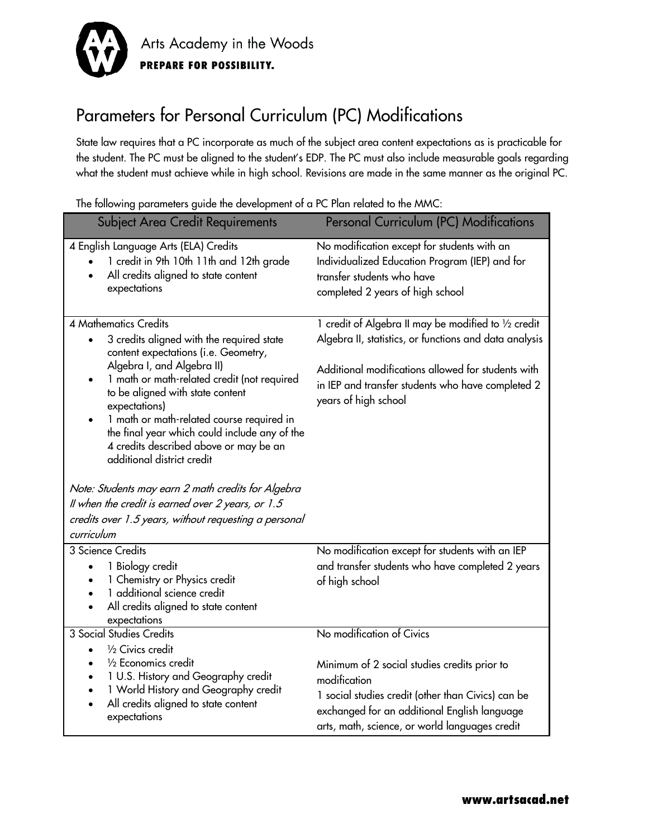

### Parameters for Personal Curriculum (PC) Modifications

State law requires that a PC incorporate as much of the subject area content expectations as is practicable for the student. The PC must be aligned to the student's EDP. The PC must also include measurable goals regarding what the student must achieve while in high school. Revisions are made in the same manner as the original PC.

| <b>Subject Area Credit Requirements</b>                                                                                                                            | <b>Personal Curriculum (PC) Modifications</b>                                                                                                                   |
|--------------------------------------------------------------------------------------------------------------------------------------------------------------------|-----------------------------------------------------------------------------------------------------------------------------------------------------------------|
| 4 English Language Arts (ELA) Credits<br>1 credit in 9th 10th 11th and 12th grade<br>All credits aligned to state content<br>expectations                          | No modification except for students with an<br>Individualized Education Program (IEP) and for<br>transfer students who have<br>completed 2 years of high school |
| <b>4 Mathematics Credits</b>                                                                                                                                       | 1 credit of Algebra II may be modified to 1/2 credit                                                                                                            |
| 3 credits aligned with the required state<br>$\bullet$<br>content expectations (i.e. Geometry,<br>Algebra I, and Algebra II)                                       | Algebra II, statistics, or functions and data analysis                                                                                                          |
| 1 math or math-related credit (not required<br>to be aligned with state content<br>expectations)                                                                   | Additional modifications allowed for students with<br>in IEP and transfer students who have completed 2<br>years of high school                                 |
| 1 math or math-related course required in<br>the final year which could include any of the<br>4 credits described above or may be an<br>additional district credit |                                                                                                                                                                 |
| Note: Students may earn 2 math credits for Algebra                                                                                                                 |                                                                                                                                                                 |
| Il when the credit is earned over 2 years, or 1.5                                                                                                                  |                                                                                                                                                                 |
| credits over 1.5 years, without requesting a personal                                                                                                              |                                                                                                                                                                 |
| curriculum                                                                                                                                                         |                                                                                                                                                                 |
| 3 Science Credits                                                                                                                                                  | No modification except for students with an IEP                                                                                                                 |
| 1 Biology credit<br>1 Chemistry or Physics credit                                                                                                                  | and transfer students who have completed 2 years                                                                                                                |
| 1 additional science credit                                                                                                                                        | of high school                                                                                                                                                  |
| All credits aligned to state content                                                                                                                               |                                                                                                                                                                 |
| expectations                                                                                                                                                       |                                                                                                                                                                 |
| <b>3 Social Studies Credits</b>                                                                                                                                    | No modification of Civics                                                                                                                                       |
| 1/2 Civics credit<br>$\bullet$                                                                                                                                     |                                                                                                                                                                 |
| 1/2 Economics credit<br>1 U.S. History and Geography credit                                                                                                        | Minimum of 2 social studies credits prior to                                                                                                                    |
| 1 World History and Geography credit                                                                                                                               | modification                                                                                                                                                    |
| All credits aligned to state content<br>expectations                                                                                                               | 1 social studies credit (other than Civics) can be<br>exchanged for an additional English language<br>arts, math, science, or world languages credit            |
|                                                                                                                                                                    |                                                                                                                                                                 |

The following parameters guide the development of a PC Plan related to the MMC: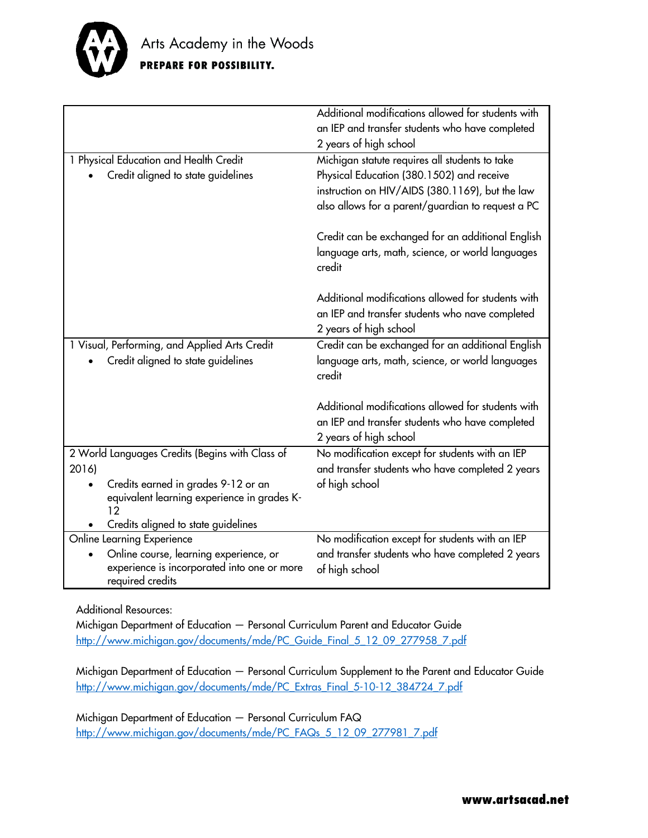

|                                                 | Additional modifications allowed for students with |
|-------------------------------------------------|----------------------------------------------------|
|                                                 | an IEP and transfer students who have completed    |
|                                                 | 2 years of high school                             |
| 1 Physical Education and Health Credit          | Michigan statute requires all students to take     |
| Credit aligned to state guidelines              | Physical Education (380.1502) and receive          |
|                                                 | instruction on HIV/AIDS (380.1169), but the law    |
|                                                 | also allows for a parent/guardian to request a PC  |
|                                                 |                                                    |
|                                                 | Credit can be exchanged for an additional English  |
|                                                 | language arts, math, science, or world languages   |
|                                                 | credit                                             |
|                                                 |                                                    |
|                                                 | Additional modifications allowed for students with |
|                                                 | an IEP and transfer students who nave completed    |
|                                                 |                                                    |
|                                                 | 2 years of high school                             |
| 1 Visual, Performing, and Applied Arts Credit   | Credit can be exchanged for an additional English  |
| Credit aligned to state guidelines              | language arts, math, science, or world languages   |
|                                                 | credit                                             |
|                                                 |                                                    |
|                                                 | Additional modifications allowed for students with |
|                                                 | an IEP and transfer students who have completed    |
|                                                 | 2 years of high school                             |
| 2 World Languages Credits (Begins with Class of | No modification except for students with an IEP    |
| 2016)                                           | and transfer students who have completed 2 years   |
| Credits earned in grades 9-12 or an             | of high school                                     |
| equivalent learning experience in grades K-     |                                                    |
| 12                                              |                                                    |
| Credits aligned to state guidelines             |                                                    |
| Online Learning Experience                      | No modification except for students with an IEP    |
| Online course, learning experience, or          | and transfer students who have completed 2 years   |
| experience is incorporated into one or more     | of high school                                     |
| required credits                                |                                                    |

Additional Resources:

Michigan Department of Education — Personal Curriculum Parent and Educator Guide [http://www.michigan.gov/documents/mde/PC\\_Guide\\_Final\\_5\\_12\\_09\\_277958\\_7.pdf](http://www.michigan.gov/documents/mde/PC_Guide_Final_5_12_09_277958_7.pdf)

Michigan Department of Education — Personal Curriculum Supplement to the Parent and Educator Guide [http://www.michigan.gov/documents/mde/PC\\_Extras\\_Final\\_5-10-12\\_384724\\_7.pdf](http://www.michigan.gov/documents/mde/PC_Extras_Final_5-10-12_384724_7.pdf)

Michigan Department of Education — Personal Curriculum FAQ [http://www.michigan.gov/documents/mde/PC\\_FAQs\\_5\\_12\\_09\\_277981\\_7.pdf](http://www.michigan.gov/documents/mde/PC_FAQs_5_12_09_277981_7.pdf)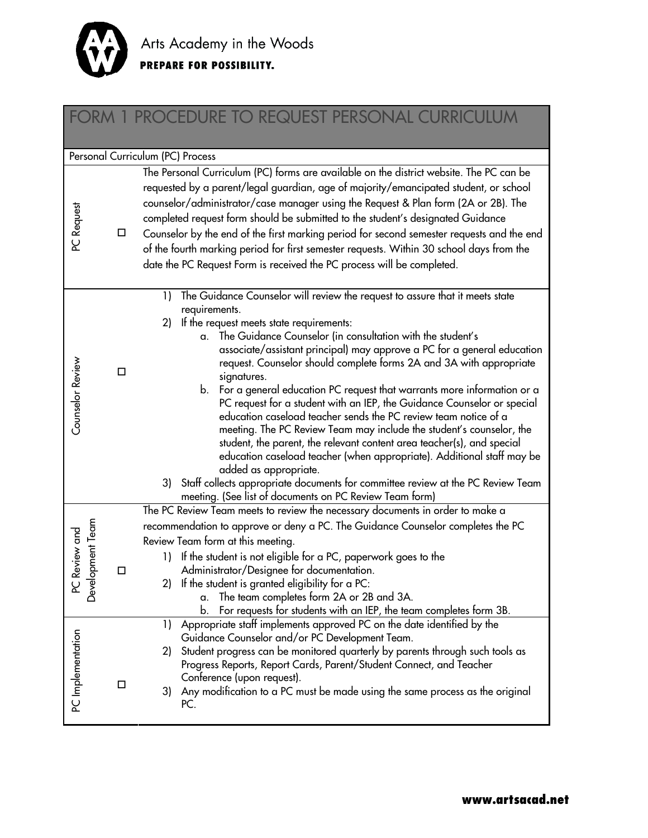

## FORM 1 PROCEDURE TO REQUEST PERSONAL CURRICULUM

|                                   |        | Personal Curriculum (PC) Process                                                                                                                                                                                                                                                                                                                                                                                                                                                                                                                                                                                                                                                                                                                                                                                                                                                                                                                                                                                            |
|-----------------------------------|--------|-----------------------------------------------------------------------------------------------------------------------------------------------------------------------------------------------------------------------------------------------------------------------------------------------------------------------------------------------------------------------------------------------------------------------------------------------------------------------------------------------------------------------------------------------------------------------------------------------------------------------------------------------------------------------------------------------------------------------------------------------------------------------------------------------------------------------------------------------------------------------------------------------------------------------------------------------------------------------------------------------------------------------------|
| PC Request                        | □      | The Personal Curriculum (PC) forms are available on the district website. The PC can be<br>requested by a parent/legal guardian, age of majority/emancipated student, or school<br>counselor/administrator/case manager using the Request & Plan form (2A or 2B). The<br>completed request form should be submitted to the student's designated Guidance<br>Counselor by the end of the first marking period for second semester requests and the end<br>of the fourth marking period for first semester requests. Within 30 school days from the<br>date the PC Request Form is received the PC process will be completed.                                                                                                                                                                                                                                                                                                                                                                                                 |
| Counselor Review                  | $\Box$ | The Guidance Counselor will review the request to assure that it meets state<br>1)<br>requirements.<br>If the request meets state requirements:<br>2)<br>The Guidance Counselor (in consultation with the student's<br>a.<br>associate/assistant principal) may approve a PC for a general education<br>request. Counselor should complete forms 2A and 3A with appropriate<br>signatures.<br>b. For a general education PC request that warrants more information or a<br>PC request for a student with an IEP, the Guidance Counselor or special<br>education caseload teacher sends the PC review team notice of a<br>meeting. The PC Review Team may include the student's counselor, the<br>student, the parent, the relevant content area teacher(s), and special<br>education caseload teacher (when appropriate). Additional staff may be<br>added as appropriate.<br>3) Staff collects appropriate documents for committee review at the PC Review Team<br>meeting. (See list of documents on PC Review Team form) |
| Development Team<br>PC Review and | □      | The PC Review Team meets to review the necessary documents in order to make a<br>recommendation to approve or deny a PC. The Guidance Counselor completes the PC<br>Review Team form at this meeting.<br>If the student is not eligible for a PC, paperwork goes to the<br>1)<br>Administrator/Designee for documentation.<br>2) If the student is granted eligibility for a PC:<br>The team completes form 2A or 2B and 3A.<br>α.<br>For requests for students with an IEP, the team completes form 3B.<br>b.                                                                                                                                                                                                                                                                                                                                                                                                                                                                                                              |
| PC Implementation                 | □      | Appropriate staff implements approved PC on the date identified by the<br>1)<br>Guidance Counselor and/or PC Development Team.<br>Student progress can be monitored quarterly by parents through such tools as<br>2)<br>Progress Reports, Report Cards, Parent/Student Connect, and Teacher<br>Conference (upon request).<br>3) Any modification to a PC must be made using the same process as the original<br>PC.                                                                                                                                                                                                                                                                                                                                                                                                                                                                                                                                                                                                         |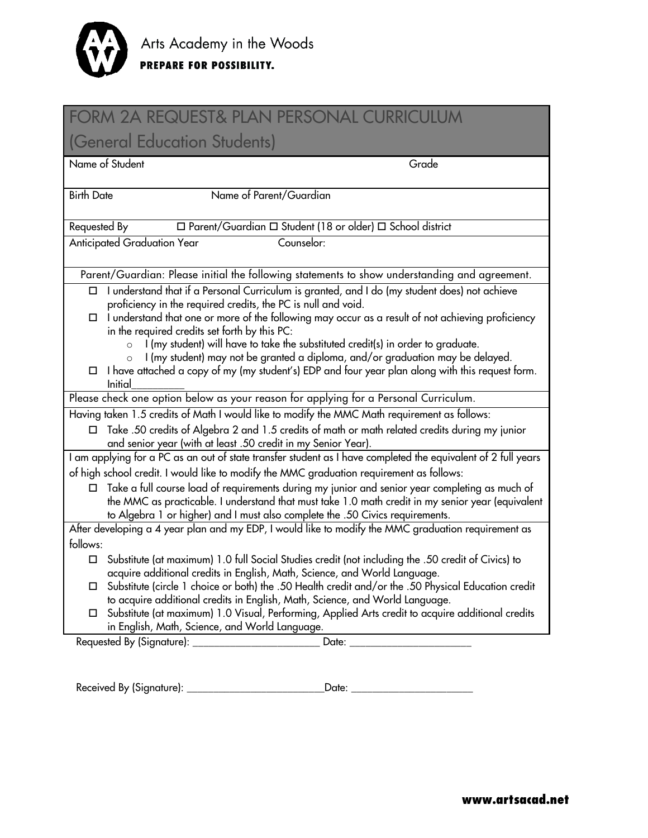

| <b>FORM 2A REQUEST&amp; PLAN PERSONAL CURRICULUM</b>                                                                                                                                                                                                                                 |
|--------------------------------------------------------------------------------------------------------------------------------------------------------------------------------------------------------------------------------------------------------------------------------------|
| (General Education Students)                                                                                                                                                                                                                                                         |
| Name of Student<br>Grade                                                                                                                                                                                                                                                             |
| Name of Parent/Guardian<br><b>Birth Date</b>                                                                                                                                                                                                                                         |
| $\Box$ Parent/Guardian $\Box$ Student (18 or older) $\Box$ School district<br>Requested By                                                                                                                                                                                           |
| <b>Anticipated Graduation Year</b><br>Counselor:                                                                                                                                                                                                                                     |
| Parent/Guardian: Please initial the following statements to show understanding and agreement.                                                                                                                                                                                        |
| I understand that if a Personal Curriculum is granted, and I do (my student does) not achieve<br>□<br>proficiency in the required credits, the PC is null and void.                                                                                                                  |
| I understand that one or more of the following may occur as a result of not achieving proficiency<br>□<br>in the required credits set forth by this PC:                                                                                                                              |
| I (my student) will have to take the substituted credit(s) in order to graduate.<br>$\circ$                                                                                                                                                                                          |
| I (my student) may not be granted a diploma, and/or graduation may be delayed.<br>I have attached a copy of my (my student's) EDP and four year plan along with this request form.<br>$\Box$<br>Initial                                                                              |
| Please check one option below as your reason for applying for a Personal Curriculum.                                                                                                                                                                                                 |
| Having taken 1.5 credits of Math I would like to modify the MMC Math requirement as follows:                                                                                                                                                                                         |
| Take .50 credits of Algebra 2 and 1.5 credits of math or math related credits during my junior<br>□<br>and senior year (with at least .50 credit in my Senior Year).                                                                                                                 |
| I am applying for a PC as an out of state transfer student as I have completed the equivalent of 2 full years                                                                                                                                                                        |
| of high school credit. I would like to modify the MMC graduation requirement as follows:                                                                                                                                                                                             |
| Take a full course load of requirements during my junior and senior year completing as much of<br>the MMC as practicable. I understand that must take 1.0 math credit in my senior year (equivalent<br>to Algebra 1 or higher) and I must also complete the .50 Civics requirements. |
| After developing a 4 year plan and my EDP, I would like to modify the MMC graduation requirement as                                                                                                                                                                                  |
| follows:                                                                                                                                                                                                                                                                             |
| Substitute (at maximum) 1.0 full Social Studies credit (not including the .50 credit of Civics) to<br>□                                                                                                                                                                              |
| acquire additional credits in English, Math, Science, and World Language<br>Substitute (circle 1 choice or both) the .50 Health credit and/or the .50 Physical Education credit<br>□<br>to acquire additional credits in English, Math, Science, and World Language.                 |
| Substitute (at maximum) 1.0 Visual, Performing, Applied Arts credit to acquire additional credits<br>□<br>in English, Math, Science, and World Language.                                                                                                                             |
|                                                                                                                                                                                                                                                                                      |

Received By (Signature): \_\_\_\_\_\_\_\_\_\_\_\_\_\_\_\_\_\_\_\_\_\_\_\_\_\_Date: \_\_\_\_\_\_\_\_\_\_\_\_\_\_\_\_\_\_\_\_\_\_\_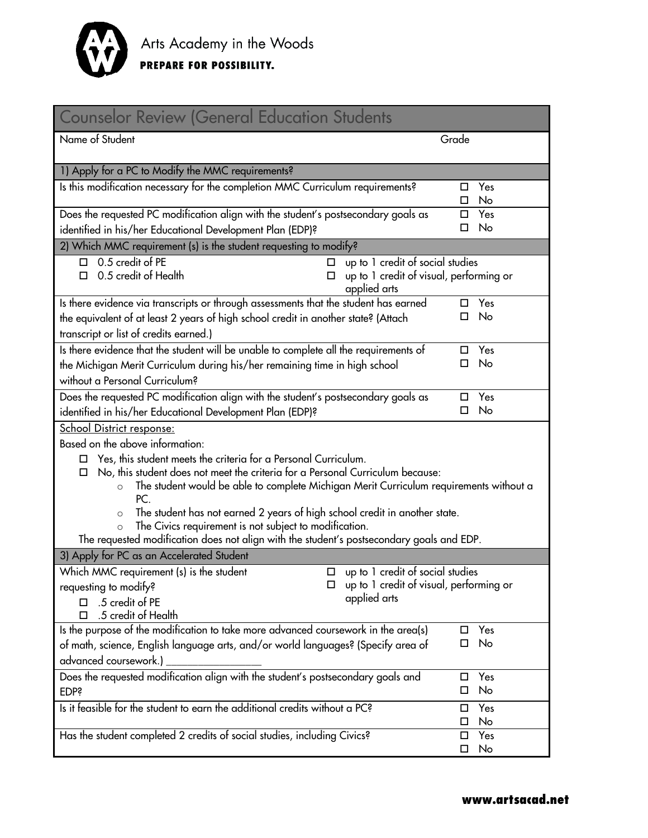

| <b>Counselor Review (General Education Students</b>                                                                                                                                                                                                                                                                                                                                                                                                                                                                                                                               |                     |  |
|-----------------------------------------------------------------------------------------------------------------------------------------------------------------------------------------------------------------------------------------------------------------------------------------------------------------------------------------------------------------------------------------------------------------------------------------------------------------------------------------------------------------------------------------------------------------------------------|---------------------|--|
| Name of Student                                                                                                                                                                                                                                                                                                                                                                                                                                                                                                                                                                   | Grade               |  |
| 1) Apply for a PC to Modify the MMC requirements?                                                                                                                                                                                                                                                                                                                                                                                                                                                                                                                                 |                     |  |
| Is this modification necessary for the completion MMC Curriculum requirements?                                                                                                                                                                                                                                                                                                                                                                                                                                                                                                    | Yes<br>□<br>No<br>□ |  |
| Does the requested PC modification align with the student's postsecondary goals as<br>Yes<br>П.                                                                                                                                                                                                                                                                                                                                                                                                                                                                                   |                     |  |
| identified in his/her Educational Development Plan (EDP)?                                                                                                                                                                                                                                                                                                                                                                                                                                                                                                                         | No<br>□             |  |
| 2) Which MMC requirement (s) is the student requesting to modify?                                                                                                                                                                                                                                                                                                                                                                                                                                                                                                                 |                     |  |
| $\Box$ 0.5 credit of PE<br>up to 1 credit of social studies<br>□<br>0.5 credit of Health<br>up to 1 credit of visual, performing or<br>п<br>applied arts                                                                                                                                                                                                                                                                                                                                                                                                                          |                     |  |
| Is there evidence via transcripts or through assessments that the student has earned                                                                                                                                                                                                                                                                                                                                                                                                                                                                                              | Yes<br>П.           |  |
| the equivalent of at least 2 years of high school credit in another state? (Attach                                                                                                                                                                                                                                                                                                                                                                                                                                                                                                | No<br>□             |  |
| transcript or list of credits earned.)                                                                                                                                                                                                                                                                                                                                                                                                                                                                                                                                            |                     |  |
| Is there evidence that the student will be unable to complete all the requirements of                                                                                                                                                                                                                                                                                                                                                                                                                                                                                             | Yes<br>□            |  |
| the Michigan Merit Curriculum during his/her remaining time in high school                                                                                                                                                                                                                                                                                                                                                                                                                                                                                                        | No<br>п             |  |
| without a Personal Curriculum?                                                                                                                                                                                                                                                                                                                                                                                                                                                                                                                                                    |                     |  |
| Does the requested PC modification align with the student's postsecondary goals as                                                                                                                                                                                                                                                                                                                                                                                                                                                                                                | Yes<br>□            |  |
| identified in his/her Educational Development Plan (EDP)?                                                                                                                                                                                                                                                                                                                                                                                                                                                                                                                         | No<br>п             |  |
| <b>School District response:</b>                                                                                                                                                                                                                                                                                                                                                                                                                                                                                                                                                  |                     |  |
| Based on the above information:<br>Yes, this student meets the criteria for a Personal Curriculum.<br>□<br>No, this student does not meet the criteria for a Personal Curriculum because:<br>◻<br>The student would be able to complete Michigan Merit Curriculum requirements without a<br>$\circ$<br>PC <sub>1</sub><br>The student has not earned 2 years of high school credit in another state.<br>$\circ$<br>The Civics requirement is not subject to modification.<br>$\circ$<br>The requested modification does not align with the student's postsecondary goals and EDP. |                     |  |
| 3) Apply for PC as an Accelerated Student                                                                                                                                                                                                                                                                                                                                                                                                                                                                                                                                         |                     |  |
| Which MMC requirement (s) is the student<br>up to 1 credit of social studies<br>□<br>up to 1 credit of visual, performing or<br>requesting to modify?<br>applied arts<br>$\Box$ .5 credit of PE<br>.5 credit of Health                                                                                                                                                                                                                                                                                                                                                            |                     |  |
| Is the purpose of the modification to take more advanced coursework in the area(s)                                                                                                                                                                                                                                                                                                                                                                                                                                                                                                | Yes<br>П            |  |
| No<br>□<br>of math, science, English language arts, and/or world languages? (Specify area of                                                                                                                                                                                                                                                                                                                                                                                                                                                                                      |                     |  |
| advanced coursework.)                                                                                                                                                                                                                                                                                                                                                                                                                                                                                                                                                             |                     |  |
| Does the requested modification align with the student's postsecondary goals and<br><b>EDP?</b>                                                                                                                                                                                                                                                                                                                                                                                                                                                                                   | Yes<br>□<br>No<br>□ |  |
| Is it feasible for the student to earn the additional credits without a PC?                                                                                                                                                                                                                                                                                                                                                                                                                                                                                                       | Yes<br>□<br>No<br>□ |  |
| Has the student completed 2 credits of social studies, including Civics?                                                                                                                                                                                                                                                                                                                                                                                                                                                                                                          | Yes<br>□<br>No<br>□ |  |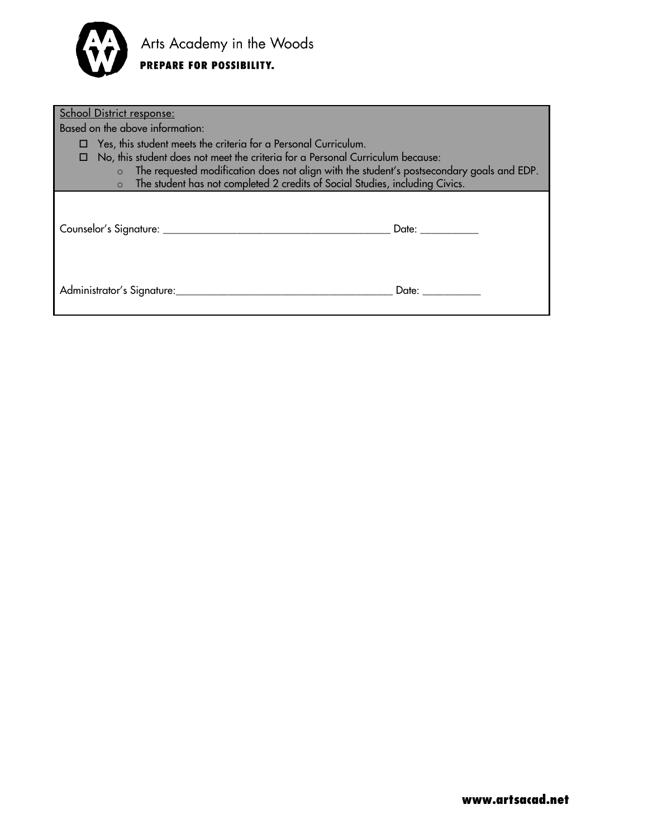

| School District response:                                                                                                                                                                                                                                                                                                                |                 |
|------------------------------------------------------------------------------------------------------------------------------------------------------------------------------------------------------------------------------------------------------------------------------------------------------------------------------------------|-----------------|
| Based on the above information:                                                                                                                                                                                                                                                                                                          |                 |
| Yes, this student meets the criteria for a Personal Curriculum.<br>No, this student does not meet the criteria for a Personal Curriculum because:<br>$\circ$ The requested modification does not align with the student's postsecondary goals and EDP.<br>o The student has not completed 2 credits of Social Studies, including Civics. |                 |
|                                                                                                                                                                                                                                                                                                                                          | Date: _________ |
| Administrator's Signature:                                                                                                                                                                                                                                                                                                               | Date: ________  |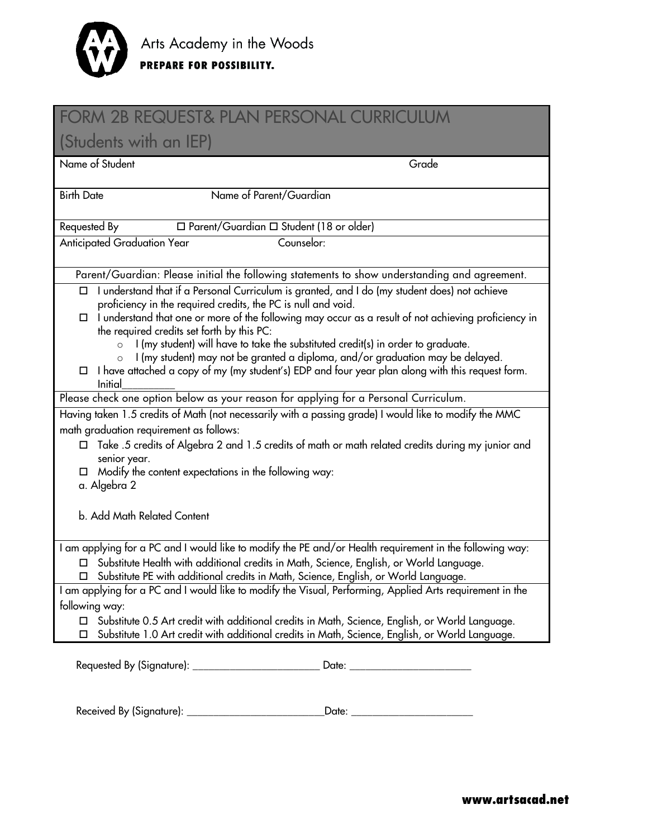

| <b>FORM 2B REQUEST&amp; PLAN PERSONAL CURRICULUM</b>                                                                                                                                                    |  |  |
|---------------------------------------------------------------------------------------------------------------------------------------------------------------------------------------------------------|--|--|
| (Students with an IEP)                                                                                                                                                                                  |  |  |
| Name of Student<br>Grade                                                                                                                                                                                |  |  |
| Name of Parent/Guardian<br><b>Birth Date</b>                                                                                                                                                            |  |  |
|                                                                                                                                                                                                         |  |  |
| $\Box$ Parent/Guardian $\Box$ Student (18 or older)<br>Requested By                                                                                                                                     |  |  |
| <b>Anticipated Graduation Year</b><br>Counselor:                                                                                                                                                        |  |  |
| Parent/Guardian: Please initial the following statements to show understanding and agreement.                                                                                                           |  |  |
| I understand that if a Personal Curriculum is granted, and I do (my student does) not achieve<br>proficiency in the required credits, the PC is null and void.                                          |  |  |
| $\Box$ I understand that one or more of the following may occur as a result of not achieving proficiency in<br>the required credits set forth by this PC:                                               |  |  |
| I (my student) will have to take the substituted credit(s) in order to graduate.<br>$\circ$<br>I (my student) may not be granted a diploma, and/or graduation may be delayed.                           |  |  |
| $\Box$ I have attached a copy of my (my student's) EDP and four year plan along with this request form.<br>Initial                                                                                      |  |  |
| Please check one option below as your reason for applying for a Personal Curriculum.                                                                                                                    |  |  |
| Having taken 1.5 credits of Math (not necessarily with a passing grade) I would like to modify the MMC                                                                                                  |  |  |
| math graduation requirement as follows:                                                                                                                                                                 |  |  |
| Take .5 credits of Algebra 2 and 1.5 credits of math or math related credits during my junior and<br>$\Box$<br>senior year.                                                                             |  |  |
| Modify the content expectations in the following way:                                                                                                                                                   |  |  |
| a. Algebra 2                                                                                                                                                                                            |  |  |
| b. Add Math Related Content                                                                                                                                                                             |  |  |
| I am applying for a PC and I would like to modify the PE and/or Health requirement in the following way:                                                                                                |  |  |
| □ Substitute Health with additional credits in Math, Science, English, or World Language.<br>□ Substitute PE with additional credits in Math, Science, English, or World Language.                      |  |  |
| I am applying for a PC and I would like to modify the Visual, Performing, Applied Arts requirement in the                                                                                               |  |  |
| following way:                                                                                                                                                                                          |  |  |
| Substitute 0.5 Art credit with additional credits in Math, Science, English, or World Language.<br>Substitute 1.0 Art credit with additional credits in Math, Science, English, or World Language.<br>□ |  |  |
|                                                                                                                                                                                                         |  |  |
|                                                                                                                                                                                                         |  |  |
|                                                                                                                                                                                                         |  |  |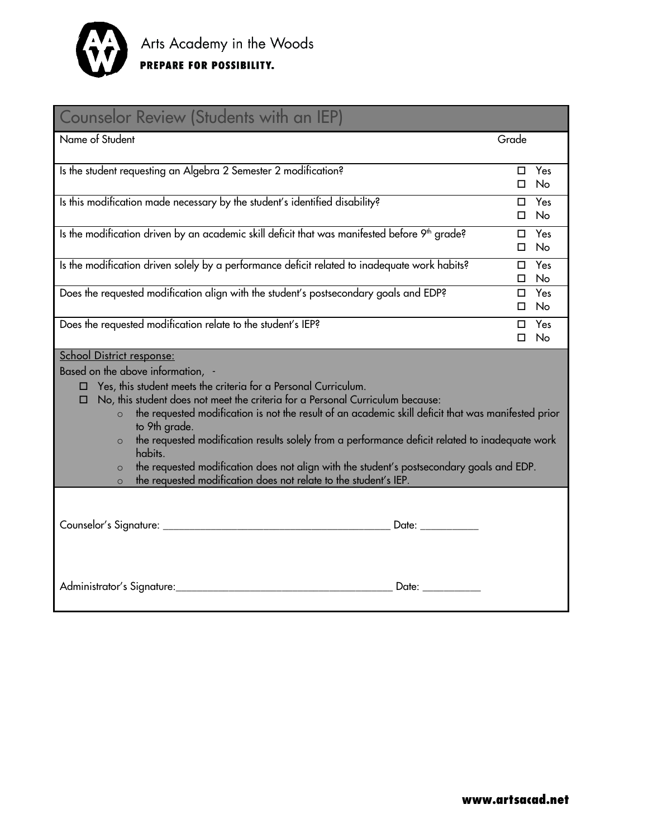

| <b>Counselor Review (Students with an IEP)</b>                                                                                                                                                                                                                                                                                                                                                                                                                                                                                                                                                                                                                                     |              |                            |  |
|------------------------------------------------------------------------------------------------------------------------------------------------------------------------------------------------------------------------------------------------------------------------------------------------------------------------------------------------------------------------------------------------------------------------------------------------------------------------------------------------------------------------------------------------------------------------------------------------------------------------------------------------------------------------------------|--------------|----------------------------|--|
| Name of Student                                                                                                                                                                                                                                                                                                                                                                                                                                                                                                                                                                                                                                                                    | Grade        |                            |  |
| Is the student requesting an Algebra 2 Semester 2 modification?                                                                                                                                                                                                                                                                                                                                                                                                                                                                                                                                                                                                                    | П.<br>$\Box$ | Yes<br><b>No</b>           |  |
| Is this modification made necessary by the student's identified disability?                                                                                                                                                                                                                                                                                                                                                                                                                                                                                                                                                                                                        | $\Box$<br>П. | Yes<br>No                  |  |
| Is the modification driven by an academic skill deficit that was manifested before 9 <sup>th</sup> grade?                                                                                                                                                                                                                                                                                                                                                                                                                                                                                                                                                                          | $\Box$<br>П. | Yes<br><b>No</b>           |  |
| Is the modification driven solely by a performance deficit related to inadequate work habits?                                                                                                                                                                                                                                                                                                                                                                                                                                                                                                                                                                                      | □<br>$\Box$  | Yes<br>No                  |  |
| Does the requested modification align with the student's postsecondary goals and EDP?                                                                                                                                                                                                                                                                                                                                                                                                                                                                                                                                                                                              | $\Box$       | $\square$ Yes<br><b>No</b> |  |
| Does the requested modification relate to the student's IEP?                                                                                                                                                                                                                                                                                                                                                                                                                                                                                                                                                                                                                       | $\Box$<br>П. | Yes<br>No                  |  |
| <b>School District response:</b><br>Based on the above information, -<br>Yes, this student meets the criteria for a Personal Curriculum.<br>No, this student does not meet the criteria for a Personal Curriculum because:<br>□<br>the requested modification is not the result of an academic skill deficit that was manifested prior<br>$\circ$<br>to 9th grade.<br>the requested modification results solely from a performance deficit related to inadequate work<br>$\circ$<br>habits.<br>the requested modification does not align with the student's postsecondary goals and EDP.<br>$\circ$<br>the requested modification does not relate to the student's IEP.<br>$\circ$ |              |                            |  |
| Date: and the state of the state of the state of the state of the state of the state of the state of the state of the state of the state of the state of the state of the state of the state of the state of the state of the                                                                                                                                                                                                                                                                                                                                                                                                                                                      |              |                            |  |
| Administrator's Signature:<br>Date: <b>Date</b>                                                                                                                                                                                                                                                                                                                                                                                                                                                                                                                                                                                                                                    |              |                            |  |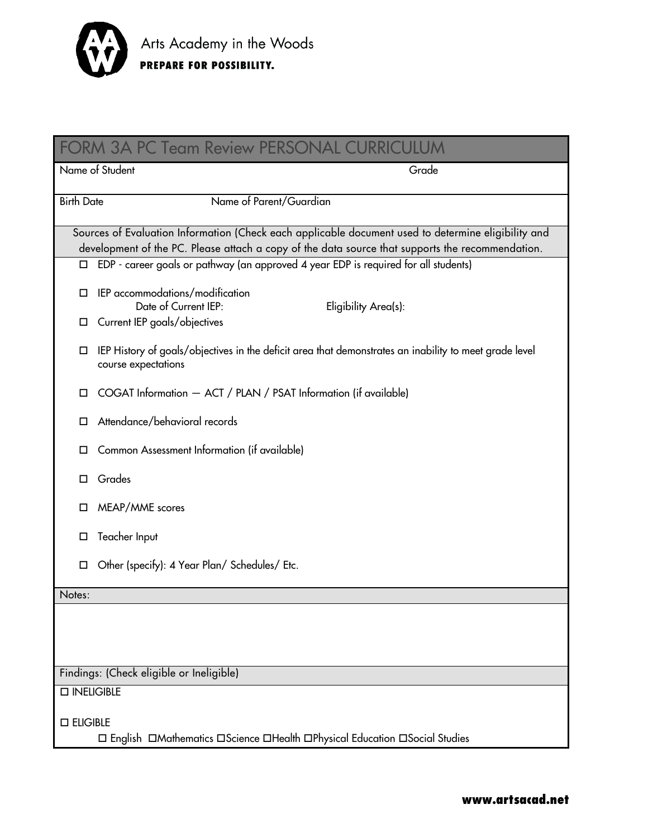

| <b>FORM 3A PC Team Review PERSONAL CURRICULUM</b>                                                      |                                                                                                                                                                                                         |  |  |
|--------------------------------------------------------------------------------------------------------|---------------------------------------------------------------------------------------------------------------------------------------------------------------------------------------------------------|--|--|
|                                                                                                        | Name of Student<br>Grade                                                                                                                                                                                |  |  |
| <b>Birth Date</b>                                                                                      | Name of Parent/Guardian                                                                                                                                                                                 |  |  |
|                                                                                                        | Sources of Evaluation Information (Check each applicable document used to determine eligibility and<br>development of the PC. Please attach a copy of the data source that supports the recommendation. |  |  |
| $\Box$                                                                                                 | EDP - career goals or pathway (an approved 4 year EDP is required for all students)                                                                                                                     |  |  |
| □                                                                                                      | IEP accommodations/modification<br>Date of Current IEP:<br>Eligibility Area(s):                                                                                                                         |  |  |
| □                                                                                                      | Current IEP goals/objectives                                                                                                                                                                            |  |  |
| □                                                                                                      | IEP History of goals/objectives in the deficit area that demonstrates an inability to meet grade level<br>course expectations                                                                           |  |  |
| ◻                                                                                                      | COGAT Information - ACT / PLAN / PSAT Information (if available)                                                                                                                                        |  |  |
| □                                                                                                      | Attendance/behavioral records                                                                                                                                                                           |  |  |
| □                                                                                                      | Common Assessment Information (if available)                                                                                                                                                            |  |  |
| □                                                                                                      | Grades                                                                                                                                                                                                  |  |  |
| □                                                                                                      | MEAP/MME scores                                                                                                                                                                                         |  |  |
| ◻                                                                                                      | Teacher Input                                                                                                                                                                                           |  |  |
| □                                                                                                      | Other (specify): 4 Year Plan/ Schedules/ Etc.                                                                                                                                                           |  |  |
| Notes:                                                                                                 |                                                                                                                                                                                                         |  |  |
|                                                                                                        |                                                                                                                                                                                                         |  |  |
|                                                                                                        |                                                                                                                                                                                                         |  |  |
| Findings: (Check eligible or Ineligible)                                                               |                                                                                                                                                                                                         |  |  |
| □ INELIGIBLE                                                                                           |                                                                                                                                                                                                         |  |  |
| $\square$ ELIGIBLE<br>□ English □ Mathematics □ Science □ Health □ Physical Education □ Social Studies |                                                                                                                                                                                                         |  |  |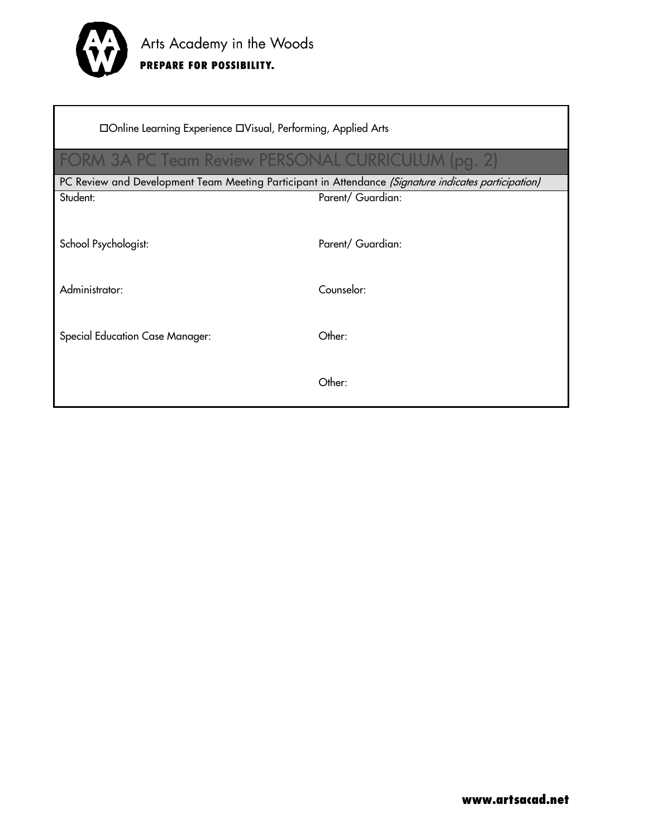

| □Online Learning Experience □Visual, Performing, Applied Arts                                        |                   |  |
|------------------------------------------------------------------------------------------------------|-------------------|--|
| FORM 3A PC Team Review PERSONAL CURRICULUM (pg. 2)                                                   |                   |  |
| PC Review and Development Team Meeting Participant in Attendance (Signature indicates participation) |                   |  |
| Student:                                                                                             | Parent/ Guardian: |  |
| School Psychologist:                                                                                 | Parent/ Guardian: |  |
| Administrator:                                                                                       | Counselor:        |  |
|                                                                                                      |                   |  |
| <b>Special Education Case Manager:</b>                                                               | Other:            |  |
|                                                                                                      |                   |  |
|                                                                                                      | Other:            |  |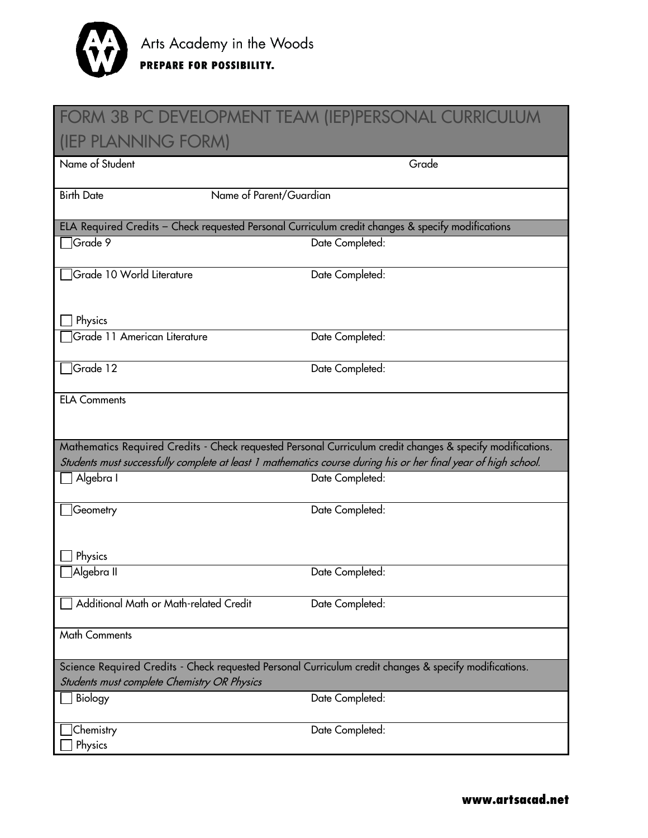

### FORM 3B PC DEVELOPMENT TEAM (IEP)PERSONAL CURRICULUM (IEP PLANNING FORM)

| <b>TEL TEATYLY TURNEY</b>                                                                                                                             |                                                                                                                |  |
|-------------------------------------------------------------------------------------------------------------------------------------------------------|----------------------------------------------------------------------------------------------------------------|--|
| Name of Student                                                                                                                                       | Grade                                                                                                          |  |
| Name of Parent/Guardian<br><b>Birth Date</b>                                                                                                          |                                                                                                                |  |
| ELA Required Credits - Check requested Personal Curriculum credit changes & specify modifications                                                     |                                                                                                                |  |
| Grade 9                                                                                                                                               | Date Completed:                                                                                                |  |
| Grade 10 World Literature                                                                                                                             | Date Completed:                                                                                                |  |
| Physics                                                                                                                                               |                                                                                                                |  |
| Grade 11 American Literature                                                                                                                          | Date Completed:                                                                                                |  |
| Grade 12                                                                                                                                              | Date Completed:                                                                                                |  |
| <b>ELA Comments</b>                                                                                                                                   |                                                                                                                |  |
|                                                                                                                                                       | Mathematics Required Credits - Check requested Personal Curriculum credit changes & specify modifications.     |  |
|                                                                                                                                                       | Students must successfully complete at least 1 mathematics course during his or her final year of high school. |  |
| Algebra I                                                                                                                                             | Date Completed:                                                                                                |  |
| Geometry<br>Physics                                                                                                                                   | Date Completed:                                                                                                |  |
| Algebra II                                                                                                                                            | Date Completed:                                                                                                |  |
| Additional Math or Math-related Credit                                                                                                                | Date Completed:                                                                                                |  |
| <b>Math Comments</b>                                                                                                                                  |                                                                                                                |  |
| Science Required Credits - Check requested Personal Curriculum credit changes & specify modifications.<br>Students must complete Chemistry OR Physics |                                                                                                                |  |
| Biology                                                                                                                                               | Date Completed:                                                                                                |  |
| Chemistry<br>Physics                                                                                                                                  | Date Completed:                                                                                                |  |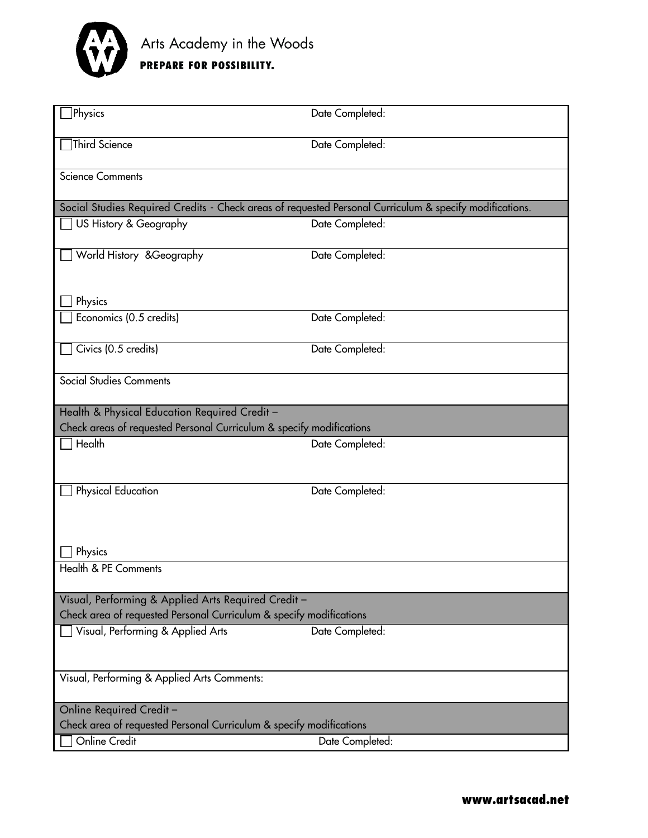

| Physics<br>Date Completed:<br>Third Science<br>Date Completed:<br><b>Science Comments</b><br>Social Studies Required Credits - Check areas of requested Personal Curriculum & specify modifications.<br>US History & Geography<br>Date Completed:<br>World History & Geography<br>Date Completed:<br>Physics<br>Economics (0.5 credits)<br>Date Completed:<br>Civics (0.5 credits)<br>Date Completed:<br><b>Social Studies Comments</b><br>Health & Physical Education Required Credit -<br>Check areas of requested Personal Curriculum & specify modifications<br>Health<br>Date Completed:<br>Physical Education<br>Date Completed:<br>Physics<br>Health & PE Comments<br>Visual, Performing & Applied Arts Required Credit -<br>Check area of requested Personal Curriculum & specify modifications<br>Visual, Performing & Applied Arts<br>Date Completed:<br>Visual, Performing & Applied Arts Comments:<br>Online Required Credit-<br>Check area of requested Personal Curriculum & specify modifications<br>Online Credit<br>Date Completed: |  |  |  |
|------------------------------------------------------------------------------------------------------------------------------------------------------------------------------------------------------------------------------------------------------------------------------------------------------------------------------------------------------------------------------------------------------------------------------------------------------------------------------------------------------------------------------------------------------------------------------------------------------------------------------------------------------------------------------------------------------------------------------------------------------------------------------------------------------------------------------------------------------------------------------------------------------------------------------------------------------------------------------------------------------------------------------------------------------|--|--|--|
|                                                                                                                                                                                                                                                                                                                                                                                                                                                                                                                                                                                                                                                                                                                                                                                                                                                                                                                                                                                                                                                      |  |  |  |
|                                                                                                                                                                                                                                                                                                                                                                                                                                                                                                                                                                                                                                                                                                                                                                                                                                                                                                                                                                                                                                                      |  |  |  |
|                                                                                                                                                                                                                                                                                                                                                                                                                                                                                                                                                                                                                                                                                                                                                                                                                                                                                                                                                                                                                                                      |  |  |  |
|                                                                                                                                                                                                                                                                                                                                                                                                                                                                                                                                                                                                                                                                                                                                                                                                                                                                                                                                                                                                                                                      |  |  |  |
|                                                                                                                                                                                                                                                                                                                                                                                                                                                                                                                                                                                                                                                                                                                                                                                                                                                                                                                                                                                                                                                      |  |  |  |
|                                                                                                                                                                                                                                                                                                                                                                                                                                                                                                                                                                                                                                                                                                                                                                                                                                                                                                                                                                                                                                                      |  |  |  |
|                                                                                                                                                                                                                                                                                                                                                                                                                                                                                                                                                                                                                                                                                                                                                                                                                                                                                                                                                                                                                                                      |  |  |  |
|                                                                                                                                                                                                                                                                                                                                                                                                                                                                                                                                                                                                                                                                                                                                                                                                                                                                                                                                                                                                                                                      |  |  |  |
|                                                                                                                                                                                                                                                                                                                                                                                                                                                                                                                                                                                                                                                                                                                                                                                                                                                                                                                                                                                                                                                      |  |  |  |
|                                                                                                                                                                                                                                                                                                                                                                                                                                                                                                                                                                                                                                                                                                                                                                                                                                                                                                                                                                                                                                                      |  |  |  |
|                                                                                                                                                                                                                                                                                                                                                                                                                                                                                                                                                                                                                                                                                                                                                                                                                                                                                                                                                                                                                                                      |  |  |  |
|                                                                                                                                                                                                                                                                                                                                                                                                                                                                                                                                                                                                                                                                                                                                                                                                                                                                                                                                                                                                                                                      |  |  |  |
|                                                                                                                                                                                                                                                                                                                                                                                                                                                                                                                                                                                                                                                                                                                                                                                                                                                                                                                                                                                                                                                      |  |  |  |
|                                                                                                                                                                                                                                                                                                                                                                                                                                                                                                                                                                                                                                                                                                                                                                                                                                                                                                                                                                                                                                                      |  |  |  |
|                                                                                                                                                                                                                                                                                                                                                                                                                                                                                                                                                                                                                                                                                                                                                                                                                                                                                                                                                                                                                                                      |  |  |  |
|                                                                                                                                                                                                                                                                                                                                                                                                                                                                                                                                                                                                                                                                                                                                                                                                                                                                                                                                                                                                                                                      |  |  |  |
|                                                                                                                                                                                                                                                                                                                                                                                                                                                                                                                                                                                                                                                                                                                                                                                                                                                                                                                                                                                                                                                      |  |  |  |
|                                                                                                                                                                                                                                                                                                                                                                                                                                                                                                                                                                                                                                                                                                                                                                                                                                                                                                                                                                                                                                                      |  |  |  |
|                                                                                                                                                                                                                                                                                                                                                                                                                                                                                                                                                                                                                                                                                                                                                                                                                                                                                                                                                                                                                                                      |  |  |  |
|                                                                                                                                                                                                                                                                                                                                                                                                                                                                                                                                                                                                                                                                                                                                                                                                                                                                                                                                                                                                                                                      |  |  |  |
|                                                                                                                                                                                                                                                                                                                                                                                                                                                                                                                                                                                                                                                                                                                                                                                                                                                                                                                                                                                                                                                      |  |  |  |
|                                                                                                                                                                                                                                                                                                                                                                                                                                                                                                                                                                                                                                                                                                                                                                                                                                                                                                                                                                                                                                                      |  |  |  |
|                                                                                                                                                                                                                                                                                                                                                                                                                                                                                                                                                                                                                                                                                                                                                                                                                                                                                                                                                                                                                                                      |  |  |  |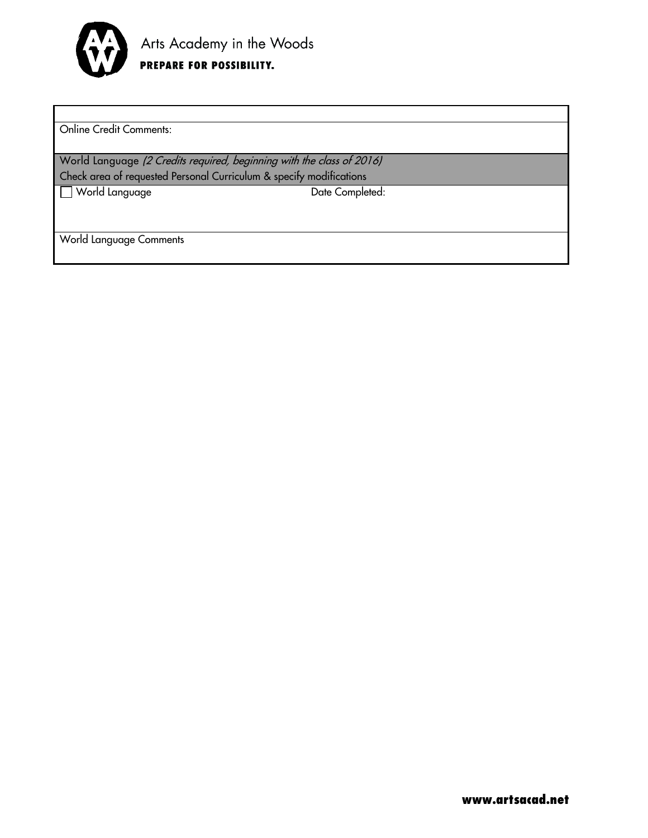

Online Credit Comments:

World Language (2 Credits required, beginning with the class of 2016) Check area of requested Personal Curriculum & specify modifications

World Language Date Completed:

World Language Comments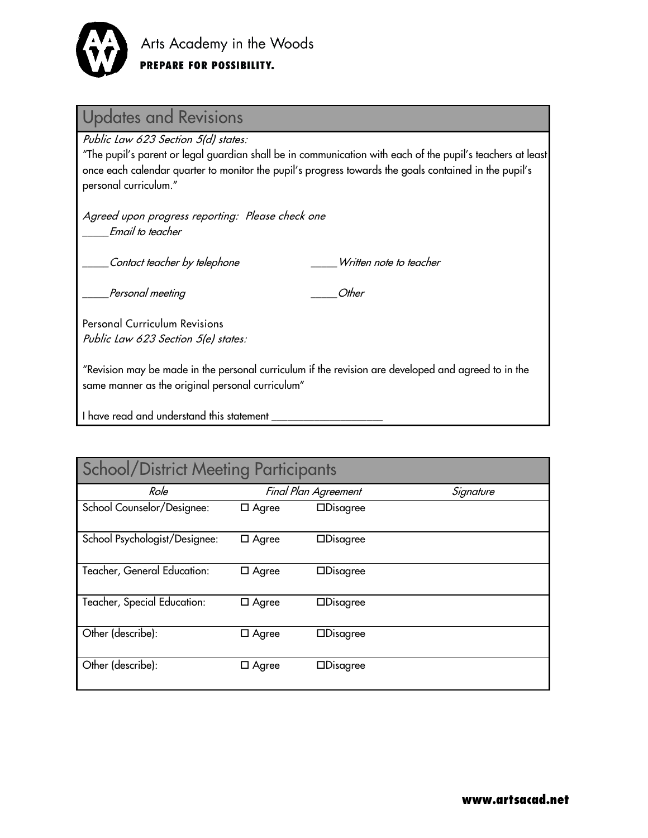

| <b>Updates and Revisions</b>                                                                                                                                                                                                                                                        |  |  |  |  |
|-------------------------------------------------------------------------------------------------------------------------------------------------------------------------------------------------------------------------------------------------------------------------------------|--|--|--|--|
| Public Law 623 Section 5(d) states:<br>"The pupil's parent or legal guardian shall be in communication with each of the pupil's teachers at least<br>once each calendar quarter to monitor the pupil's progress towards the goals contained in the pupil's<br>personal curriculum." |  |  |  |  |
| Agreed upon progress reporting: Please check one<br>Email to teacher                                                                                                                                                                                                                |  |  |  |  |
| Contact teacher by telephone<br>Written note to teacher                                                                                                                                                                                                                             |  |  |  |  |
| Other<br>Personal meeting                                                                                                                                                                                                                                                           |  |  |  |  |
| <b>Personal Curriculum Revisions</b><br>Public Law 623 Section 5(e) states:                                                                                                                                                                                                         |  |  |  |  |
| Revision may be made in the personal curriculum if the revision are developed and agreed to in the "<br>same manner as the original personal curriculum"                                                                                                                            |  |  |  |  |
| I have read and understand this statement                                                                                                                                                                                                                                           |  |  |  |  |
|                                                                                                                                                                                                                                                                                     |  |  |  |  |

| <b>School/District Meeting Participants</b> |                      |                    |           |  |
|---------------------------------------------|----------------------|--------------------|-----------|--|
| Role                                        | Final Plan Agreement |                    | Signature |  |
| School Counselor/Designee:                  | $\Box$ Agree         | $\Box$ Disagree    |           |  |
| School Psychologist/Designee:               | $\Box$ Agree         | $\Box$ Disagree    |           |  |
| Teacher, General Education:                 | $\Box$ Agree         | $\Box$ Disagree    |           |  |
| Teacher, Special Education:                 | $\Box$ Agree         | $\Box$ Disagree    |           |  |
| Other (describe):                           | $\Box$ Agree         | $\Box$ Disagree    |           |  |
| Other (describe):                           | $\Box$ Agree         | $\square$ Disagree |           |  |